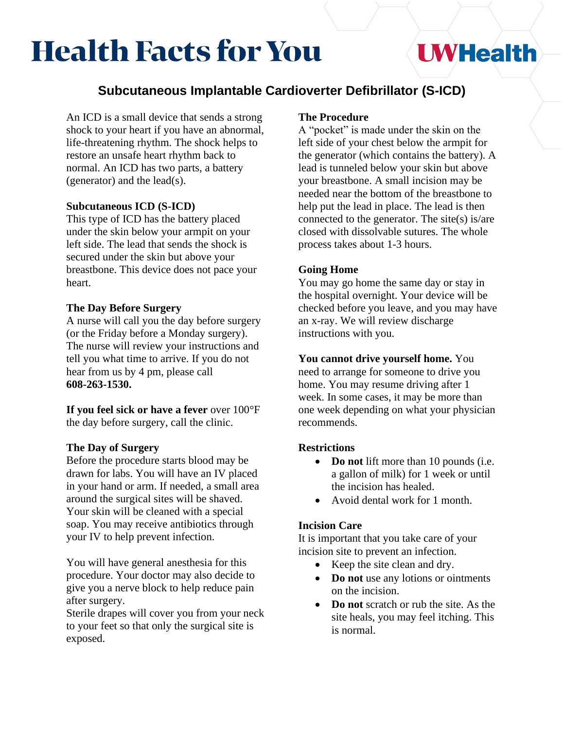# **Health Facts for You**

## **UWHealth**

### **Subcutaneous Implantable Cardioverter Defibrillator (S-ICD)**

An ICD is a small device that sends a strong shock to your heart if you have an abnormal, life-threatening rhythm. The shock helps to restore an unsafe heart rhythm back to normal. An ICD has two parts, a battery (generator) and the lead(s).

#### **Subcutaneous ICD (S-ICD)**

This type of ICD has the battery placed under the skin below your armpit on your left side. The lead that sends the shock is secured under the skin but above your breastbone. This device does not pace your heart.

#### **The Day Before Surgery**

A nurse will call you the day before surgery (or the Friday before a Monday surgery). The nurse will review your instructions and tell you what time to arrive. If you do not hear from us by 4 pm, please call **608-263-1530.**

**If you feel sick or have a fever** over 100°F the day before surgery, call the clinic.

#### **The Day of Surgery**

Before the procedure starts blood may be drawn for labs. You will have an IV placed in your hand or arm. If needed, a small area around the surgical sites will be shaved. Your skin will be cleaned with a special soap. You may receive antibiotics through your IV to help prevent infection.

You will have general anesthesia for this procedure. Your doctor may also decide to give you a nerve block to help reduce pain after surgery.

Sterile drapes will cover you from your neck to your feet so that only the surgical site is exposed.

#### **The Procedure**

A "pocket" is made under the skin on the left side of your chest below the armpit for the generator (which contains the battery). A lead is tunneled below your skin but above your breastbone. A small incision may be needed near the bottom of the breastbone to help put the lead in place. The lead is then connected to the generator. The site(s) is/are closed with dissolvable sutures. The whole process takes about 1-3 hours.

#### **Going Home**

You may go home the same day or stay in the hospital overnight. Your device will be checked before you leave, and you may have an x-ray. We will review discharge instructions with you.

**You cannot drive yourself home.** You need to arrange for someone to drive you home. You may resume driving after 1 week. In some cases, it may be more than one week depending on what your physician recommends.

#### **Restrictions**

- **Do not** lift more than 10 pounds (i.e. a gallon of milk) for 1 week or until the incision has healed.
- Avoid dental work for 1 month.

#### **Incision Care**

It is important that you take care of your incision site to prevent an infection.

- Keep the site clean and dry.
- **Do not** use any lotions or ointments on the incision.
- **Do not** scratch or rub the site. As the site heals, you may feel itching. This is normal.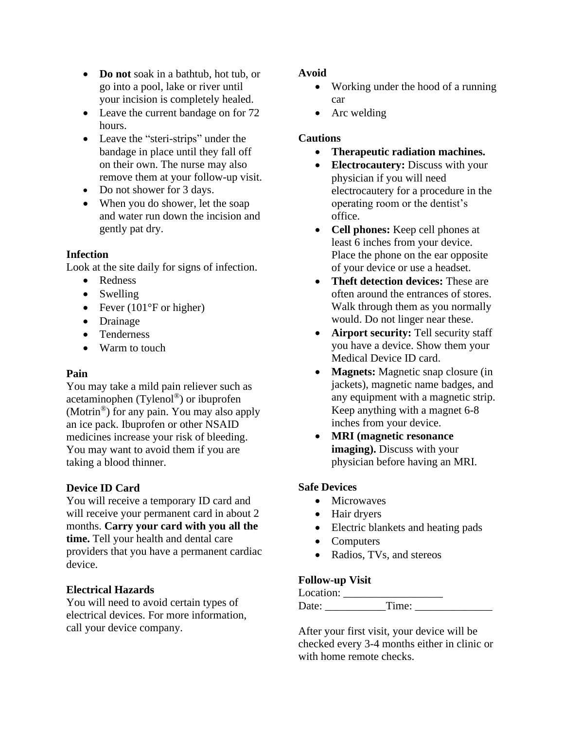- **Do not** soak in a bathtub, hot tub, or go into a pool, lake or river until your incision is completely healed.
- Leave the current bandage on for 72 hours.
- Leave the "steri-strips" under the bandage in place until they fall off on their own. The nurse may also remove them at your follow-up visit.
- Do not shower for 3 days.
- When you do shower, let the soap and water run down the incision and gently pat dry.

#### **Infection**

Look at the site daily for signs of infection.

- Redness
- Swelling
- Fever (101 $\degree$ F or higher)
- Drainage
- Tenderness
- Warm to touch

#### **Pain**

You may take a mild pain reliever such as acetaminophen (Tylenol®) or ibuprofen (Motrin®) for any pain. You may also apply an ice pack. Ibuprofen or other NSAID medicines increase your risk of bleeding. You may want to avoid them if you are taking a blood thinner.

#### **Device ID Card**

You will receive a temporary ID card and will receive your permanent card in about 2 months. **Carry your card with you all the time.** Tell your health and dental care providers that you have a permanent cardiac device.

#### **Electrical Hazards**

You will need to avoid certain types of electrical devices. For more information, call your device company.

#### **Avoid**

- Working under the hood of a running car
- Arc welding

#### **Cautions**

- **Therapeutic radiation machines.**
- **Electrocautery:** Discuss with your physician if you will need electrocautery for a procedure in the operating room or the dentist's office.
- **Cell phones:** Keep cell phones at least 6 inches from your device. Place the phone on the ear opposite of your device or use a headset.
- **Theft detection devices:** These are often around the entrances of stores. Walk through them as you normally would. Do not linger near these.
- **Airport security:** Tell security staff you have a device. Show them your Medical Device ID card.
- **Magnets:** Magnetic snap closure (in jackets), magnetic name badges, and any equipment with a magnetic strip. Keep anything with a magnet 6-8 inches from your device.
- **MRI (magnetic resonance imaging).** Discuss with your physician before having an MRI.

#### **Safe Devices**

- Microwaves
- Hair dryers
- Electric blankets and heating pads
- Computers
- Radios, TVs, and stereos

#### **Follow-up Visit**

| Location: |         |  |
|-----------|---------|--|
| Date:     | $Time+$ |  |

After your first visit, your device will be checked every 3-4 months either in clinic or with home remote checks.